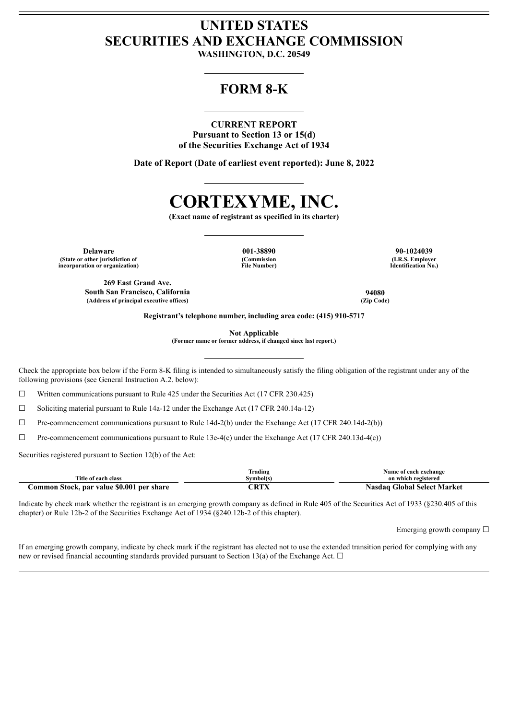# **UNITED STATES SECURITIES AND EXCHANGE COMMISSION**

**WASHINGTON, D.C. 20549**

## **FORM 8-K**

### **CURRENT REPORT**

**Pursuant to Section 13 or 15(d) of the Securities Exchange Act of 1934**

**Date of Report (Date of earliest event reported): June 8, 2022**



**(Exact name of registrant as specified in its charter)**

**Delaware 001-38890 90-1024039 (State or other jurisdiction of incorporation or organization)**

**269 East Grand Ave. South San Francisco, California 94080 (Address of principal executive offices) (Zip Code)**

**(Commission File Number)**

**(I.R.S. Employer Identification No.)**

**Registrant's telephone number, including area code: (415) 910-5717**

**Not Applicable**

**(Former name or former address, if changed since last report.)**

Check the appropriate box below if the Form 8-K filing is intended to simultaneously satisfy the filing obligation of the registrant under any of the following provisions (see General Instruction A.2. below):

 $\Box$  Written communications pursuant to Rule 425 under the Securities Act (17 CFR 230.425)

☐ Soliciting material pursuant to Rule 14a-12 under the Exchange Act (17 CFR 240.14a-12)

 $\Box$  Pre-commencement communications pursuant to Rule 14d-2(b) under the Exchange Act (17 CFR 240.14d-2(b))

 $\Box$  Pre-commencement communications pursuant to Rule 13e-4(c) under the Exchange Act (17 CFR 240.13d-4(c))

Securities registered pursuant to Section 12(b) of the Act:

|                                           | Trading   | Name of each exchange              |
|-------------------------------------------|-----------|------------------------------------|
| Title of each class                       | Svmbol(s` | on which registered                |
| Common Stock, par value \$0.001 per share | ~отт      | <b>Nasdaq Global Select Market</b> |

Indicate by check mark whether the registrant is an emerging growth company as defined in Rule 405 of the Securities Act of 1933 (§230.405 of this chapter) or Rule 12b-2 of the Securities Exchange Act of 1934 (§240.12b-2 of this chapter).

Emerging growth company  $\Box$ 

If an emerging growth company, indicate by check mark if the registrant has elected not to use the extended transition period for complying with any new or revised financial accounting standards provided pursuant to Section 13(a) of the Exchange Act.  $\Box$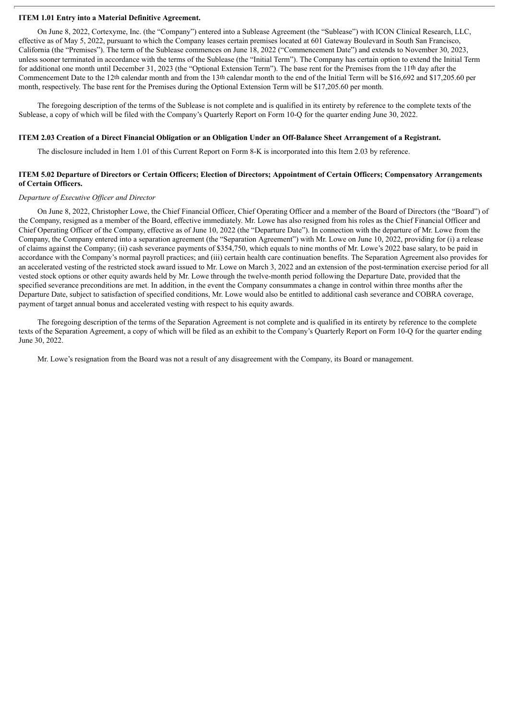#### **ITEM 1.01 Entry into a Material Definitive Agreement.**

On June 8, 2022, Cortexyme, Inc. (the "Company") entered into a Sublease Agreement (the "Sublease") with ICON Clinical Research, LLC, effective as of May 5, 2022, pursuant to which the Company leases certain premises located at 601 Gateway Boulevard in South San Francisco, California (the "Premises"). The term of the Sublease commences on June 18, 2022 ("Commencement Date") and extends to November 30, 2023, unless sooner terminated in accordance with the terms of the Sublease (the "Initial Term"). The Company has certain option to extend the Initial Term for additional one month until December 31, 2023 (the "Optional Extension Term"). The base rent for the Premises from the 11th day after the Commencement Date to the 12th calendar month and from the 13th calendar month to the end of the Initial Term will be \$16,692 and \$17,205.60 per month, respectively. The base rent for the Premises during the Optional Extension Term will be \$17,205.60 per month.

The foregoing description of the terms of the Sublease is not complete and is qualified in its entirety by reference to the complete texts of the Sublease, a copy of which will be filed with the Company's Quarterly Report on Form 10-Q for the quarter ending June 30, 2022.

#### ITEM 2.03 Creation of a Direct Financial Obligation or an Obligation Under an Off-Balance Sheet Arrangement of a Registrant.

The disclosure included in Item 1.01 of this Current Report on Form 8-K is incorporated into this Item 2.03 by reference.

#### ITEM 5.02 Departure of Directors or Certain Officers; Election of Directors; Appointment of Certain Officers; Compensatory Arrangements **of Certain Officers.**

#### *Departure of Executive Of icer and Director*

On June 8, 2022, Christopher Lowe, the Chief Financial Officer, Chief Operating Officer and a member of the Board of Directors (the "Board") of the Company, resigned as a member of the Board, effective immediately. Mr. Lowe has also resigned from his roles as the Chief Financial Officer and Chief Operating Officer of the Company, effective as of June 10, 2022 (the "Departure Date"). In connection with the departure of Mr. Lowe from the Company, the Company entered into a separation agreement (the "Separation Agreement") with Mr. Lowe on June 10, 2022, providing for (i) a release of claims against the Company; (ii) cash severance payments of \$354,750, which equals to nine months of Mr. Lowe's 2022 base salary, to be paid in accordance with the Company's normal payroll practices; and (iii) certain health care continuation benefits. The Separation Agreement also provides for an accelerated vesting of the restricted stock award issued to Mr. Lowe on March 3, 2022 and an extension of the post-termination exercise period for all vested stock options or other equity awards held by Mr. Lowe through the twelve-month period following the Departure Date, provided that the specified severance preconditions are met. In addition, in the event the Company consummates a change in control within three months after the Departure Date, subject to satisfaction of specified conditions, Mr. Lowe would also be entitled to additional cash severance and COBRA coverage, payment of target annual bonus and accelerated vesting with respect to his equity awards.

The foregoing description of the terms of the Separation Agreement is not complete and is qualified in its entirety by reference to the complete texts of the Separation Agreement, a copy of which will be filed as an exhibit to the Company's Quarterly Report on Form 10-Q for the quarter ending June 30, 2022.

Mr. Lowe's resignation from the Board was not a result of any disagreement with the Company, its Board or management.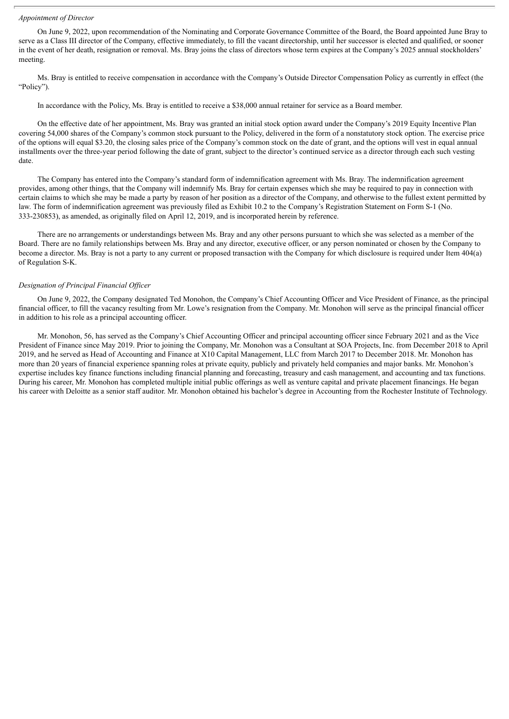#### *Appointment of Director*

On June 9, 2022, upon recommendation of the Nominating and Corporate Governance Committee of the Board, the Board appointed June Bray to serve as a Class III director of the Company, effective immediately, to fill the vacant directorship, until her successor is elected and qualified, or sooner in the event of her death, resignation or removal. Ms. Bray joins the class of directors whose term expires at the Company's 2025 annual stockholders' meeting.

Ms. Bray is entitled to receive compensation in accordance with the Company's Outside Director Compensation Policy as currently in effect (the "Policy").

In accordance with the Policy, Ms. Bray is entitled to receive a \$38,000 annual retainer for service as a Board member.

On the effective date of her appointment, Ms. Bray was granted an initial stock option award under the Company's 2019 Equity Incentive Plan covering 54,000 shares of the Company's common stock pursuant to the Policy, delivered in the form of a nonstatutory stock option. The exercise price of the options will equal \$3.20, the closing sales price of the Company's common stock on the date of grant, and the options will vest in equal annual installments over the three-year period following the date of grant, subject to the director's continued service as a director through each such vesting date.

The Company has entered into the Company's standard form of indemnification agreement with Ms. Bray. The indemnification agreement provides, among other things, that the Company will indemnify Ms. Bray for certain expenses which she may be required to pay in connection with certain claims to which she may be made a party by reason of her position as a director of the Company, and otherwise to the fullest extent permitted by law. The form of indemnification agreement was previously filed as Exhibit 10.2 to the Company's Registration Statement on Form S-1 (No. 333-230853), as amended, as originally filed on April 12, 2019, and is incorporated herein by reference.

There are no arrangements or understandings between Ms. Bray and any other persons pursuant to which she was selected as a member of the Board. There are no family relationships between Ms. Bray and any director, executive officer, or any person nominated or chosen by the Company to become a director. Ms. Bray is not a party to any current or proposed transaction with the Company for which disclosure is required under Item 404(a) of Regulation S-K.

#### *Designation of Principal Financial Of icer*

On June 9, 2022, the Company designated Ted Monohon, the Company's Chief Accounting Officer and Vice President of Finance, as the principal financial officer, to fill the vacancy resulting from Mr. Lowe's resignation from the Company. Mr. Monohon will serve as the principal financial officer in addition to his role as a principal accounting officer.

Mr. Monohon, 56, has served as the Company's Chief Accounting Officer and principal accounting officer since February 2021 and as the Vice President of Finance since May 2019. Prior to joining the Company, Mr. Monohon was a Consultant at SOA Projects, Inc. from December 2018 to April 2019, and he served as Head of Accounting and Finance at X10 Capital Management, LLC from March 2017 to December 2018. Mr. Monohon has more than 20 years of financial experience spanning roles at private equity, publicly and privately held companies and major banks. Mr. Monohon's expertise includes key finance functions including financial planning and forecasting, treasury and cash management, and accounting and tax functions. During his career, Mr. Monohon has completed multiple initial public offerings as well as venture capital and private placement financings. He began his career with Deloitte as a senior staff auditor. Mr. Monohon obtained his bachelor's degree in Accounting from the Rochester Institute of Technology.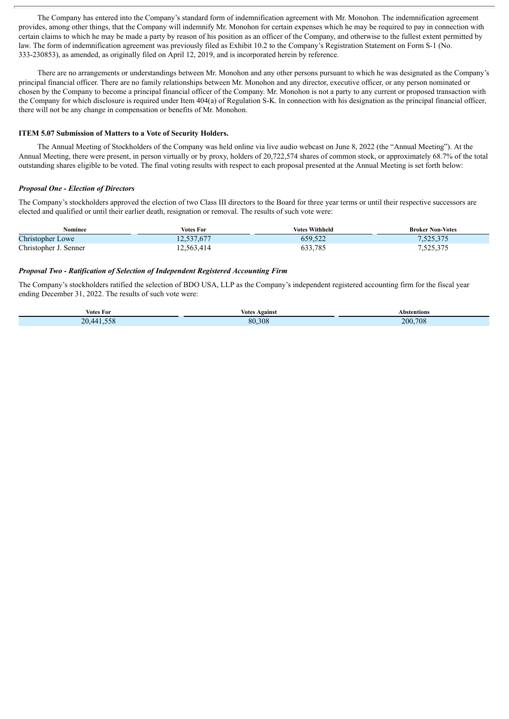The Company has entered into the Company's standard form of indemnification agreement with Mr. Monohon. The indemnification agreement provides, among other things, that the Company will indemnify Mr. Monohon for certain expenses which he may be required to pay in connection with certain claims to which he may be made a party by reason of his position as an officer of the Company, and otherwise to the fullest extent permitted by law. The form of indemnification agreement was previously filed as Exhibit 10.2 to the Company's Registration Statement on Form S-1 (No. 333-230853), as amended, as originally filed on April 12, 2019, and is incorporated herein by reference.

There are no arrangements or understandings between Mr. Monohon and any other persons pursuant to which he was designated as the Company's principal financial officer. There are no family relationships between Mr. Monohon and any director, executive officer, or any person nominated or chosen by the Company to become a principal financial officer of the Company. Mr. Monohon is not a party to any current or proposed transaction with the Company for which disclosure is required under Item 404(a) of Regulation S-K. In connection with his designation as the principal financial officer, there will not be any change in compensation or benefits of Mr. Monohon.

#### **ITEM 5.07 Submission of Matters to a Vote of Security Holders.**

The Annual Meeting of Stockholders of the Company was held online via live audio webcast on June 8, 2022 (the "Annual Meeting"). At the Annual Meeting, there were present, in person virtually or by proxy, holders of 20,722,574 shares of common stock, or approximately 68.7% of the total outstanding shares eligible to be voted. The final voting results with respect to each proposal presented at the Annual Meeting is set forth below:

#### *Proposal One - Election of Directors*

The Company's stockholders approved the election of two Class III directors to the Board for three year terms or until their respective successors are elected and qualified or until their earlier death, resignation or removal. The results of such vote were:

| Nominee               | Votes For  | <b>Votes Withheld</b> | <b>Broker Non-Votes</b> |
|-----------------------|------------|-----------------------|-------------------------|
| Christopher Lowe      | 12,537,677 | 659,522               | 7,525,375               |
| Christopher J. Senner | 12,563,414 | 633,785               | 525,375'                |

#### *Proposal Two - Ratification of Selection of Independent Registered Accounting Firm*

The Company's stockholders ratified the selection of BDO USA, LLP as the Company's independent registered accounting firm for the fiscal year ending December 31, 2022. The results of such vote were:

| Votes For                                        | Votes<br>Against | Abstentions             |
|--------------------------------------------------|------------------|-------------------------|
| $- -$<br>20.44<br>$\overline{\phantom{a}}$<br>__ | 80,308           | 200,708<br>__<br>$\sim$ |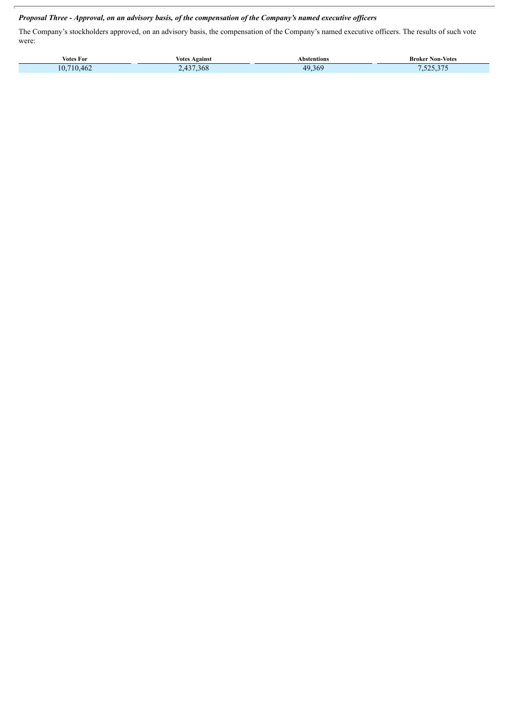## Proposal Three - Approval, on an advisory basis, of the compensation of the Company's named executive officers

The Company's stockholders approved, on an advisory basis, the compensation of the Company's named executive officers. The results of such vote were:

| Votes For        | Against<br>otes/ | Abstentions | Non-Votes<br>Kroker |
|------------------|------------------|-------------|---------------------|
| $\Omega$<br>71 Z | 20<br>368        | 49.369      | 275                 |